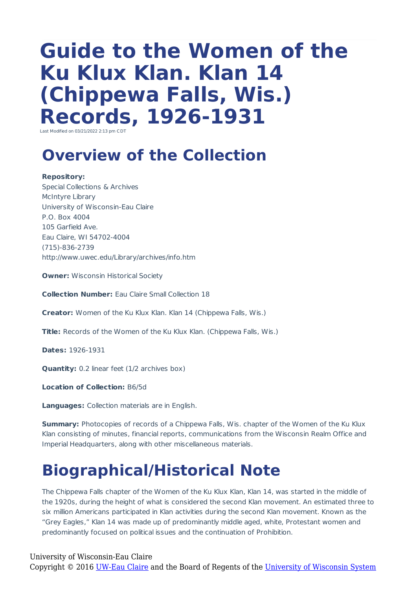# **Guide to the Women of the Ku Klux Klan. Klan 14 (Chippewa Falls, Wis.) Records, 1926-1931**

Last Modified on 03/21/2022 2:13 pm CDT

### **Overview of the Collection**

**Repository:** Special Collections & Archives McIntyre Library University of Wisconsin-Eau Claire P.O. Box 4004 105 Garfield Ave. Eau Claire, WI 54702-4004 (715)-836-2739 http://www.uwec.edu/Library/archives/info.htm

**Owner:** Wisconsin Historical Society

**Collection Number:** Eau Claire Small Collection 18

**Creator:** Women of the Ku Klux Klan. Klan 14 (Chippewa Falls, Wis.)

**Title:** Records of the Women of the Ku Klux Klan. (Chippewa Falls, Wis.)

**Dates:** 1926-1931

**Quantity:** 0.2 linear feet (1/2 archives box)

**Location of Collection:** B6/5d

**Languages:** Collection materials are in English.

**Summary:** Photocopies of records of a Chippewa Falls, Wis. chapter of the Women of the Ku Klux Klan consisting of minutes, financial reports, communications from the Wisconsin Realm Office and Imperial Headquarters, along with other miscellaneous materials.

### **Biographical/Historical Note**

The Chippewa Falls chapter of the Women of the Ku Klux Klan, Klan 14, was started in the middle of the 1920s, during the height of what is considered the second Klan movement. An estimated three to six million Americans participated in Klan activities during the second Klan movement. Known as the "Grey Eagles," Klan 14 was made up of predominantly middle aged, white, Protestant women and predominantly focused on political issues and the continuation of Prohibition.

University of Wisconsin-Eau Claire Copyright © 2016 [UW-Eau Claire](http://www.uwec.edu) and the Board of Regents of the [University of Wisconsin System](http://www.uwsa.edu/)